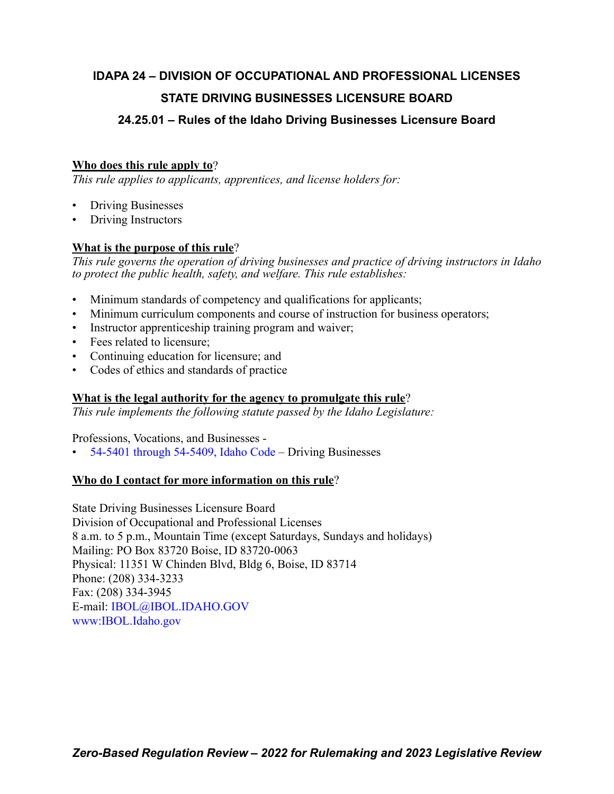# **IDAPA 24 – DIVISION OF OCCUPATIONAL AND PROFESSIONAL LICENSES STATE DRIVING BUSINESSES LICENSURE BOARD**

# **24.25.01 – Rules of the Idaho Driving Businesses Licensure Board**

# **Who does this rule apply to**?

*This rule applies to applicants, apprentices, and license holders for:*

- Driving Businesses
- Driving Instructors

# **What is the purpose of this rule**?

*This rule governs the operation of driving businesses and practice of driving instructors in Idaho to protect the public health, safety, and welfare. This rule establishes:*

- Minimum standards of competency and qualifications for applicants;
- Minimum curriculum components and course of instruction for business operators;
- Instructor apprenticeship training program and waiver;
- Fees related to licensure;
- Continuing education for licensure; and
- Codes of ethics and standards of practice

## **What is the legal authority for the agency to promulgate this rule**?

*This rule implements the following statute passed by the Idaho Legislature:*

Professions, Vocations, and Businesses -

• [54-5401 through 54-5409, Idaho Code](https://legislature.idaho.gov/statutesrules/idstat/Title54/T54CH54/) – Driving Businesses

## **Who do I contact for more information on this rule**?

State Driving Businesses Licensure Board Division of Occupational and Professional Licenses 8 a.m. to 5 p.m., Mountain Time (except Saturdays, Sundays and holidays) Mailing: PO Box 83720 Boise, ID 83720-0063 Physical: 11351 W Chinden Blvd, Bldg 6, Boise, ID 83714 Phone: (208) 334-3233 Fax: (208) 334-3945 E-mail: [IBOL@IBOL.IDAHO.GOV](mailto: IBOL@IBOL.IDAHO.GOV) [www:IBOL.Idaho.gov](http://www.ibol.idaho.gov/)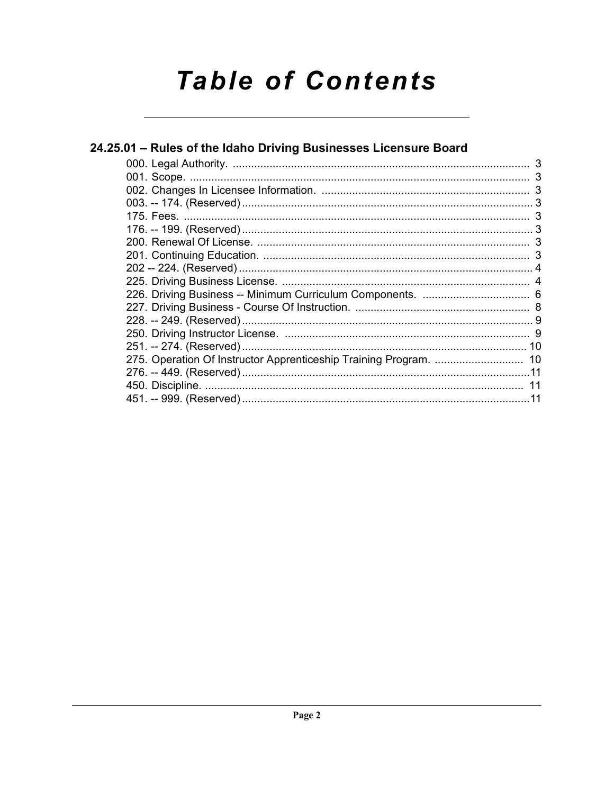# **Table of Contents**

| 24.25.01 – Rules of the Idaho Driving Businesses Licensure Board |  |  |
|------------------------------------------------------------------|--|--|
|                                                                  |  |  |
|                                                                  |  |  |
|                                                                  |  |  |
|                                                                  |  |  |
|                                                                  |  |  |
|                                                                  |  |  |
|                                                                  |  |  |
|                                                                  |  |  |
|                                                                  |  |  |
|                                                                  |  |  |
|                                                                  |  |  |
|                                                                  |  |  |
|                                                                  |  |  |
|                                                                  |  |  |
|                                                                  |  |  |
|                                                                  |  |  |
|                                                                  |  |  |
|                                                                  |  |  |
|                                                                  |  |  |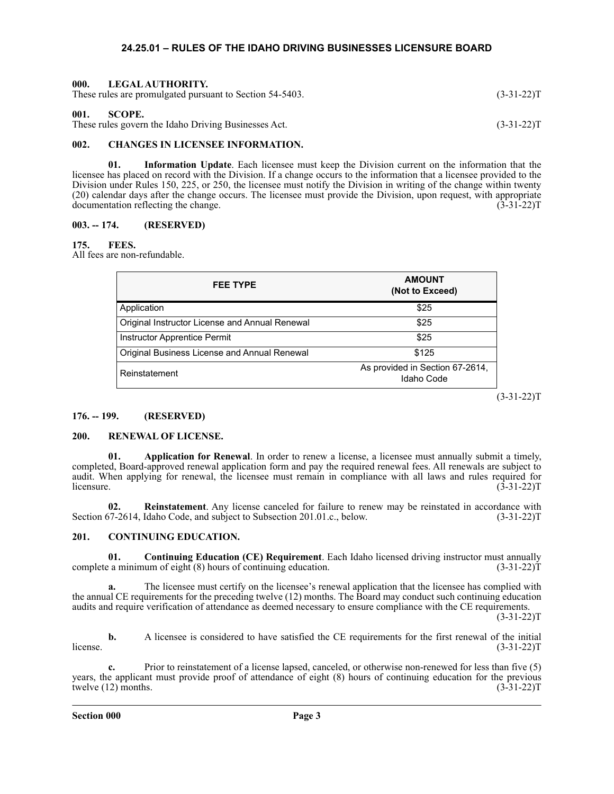#### **24.25.01 – RULES OF THE IDAHO DRIVING BUSINESSES LICENSURE BOARD**

<span id="page-2-2"></span><span id="page-2-1"></span><span id="page-2-0"></span>

| 000.<br>LEGAL AUTHORITY.<br>These rules are promulgated pursuant to Section 54-5403. | $(3-31-22)T$ |
|--------------------------------------------------------------------------------------|--------------|
| 001.<br>SCOPE.<br>These rules govern the Idaho Driving Businesses Act.               | $(3-31-22)T$ |

#### <span id="page-2-3"></span>**002. CHANGES IN LICENSEE INFORMATION.**

**01. Information Update**. Each licensee must keep the Division current on the information that the licensee has placed on record with the Division. If a change occurs to the information that a licensee provided to the Division under Rules 150, 225, or 250, the licensee must notify the Division in writing of the change within twenty (20) calendar days after the change occurs. The licensee must provide the Division, upon request, with appropriate documentation reflecting the change. (3-31-22)T

#### <span id="page-2-4"></span>**003. -- 174. (RESERVED)**

#### <span id="page-2-5"></span>**175. FEES.**

All fees are non-refundable.

| <b>FEE TYPE</b>                                | <b>AMOUNT</b><br>(Not to Exceed)              |
|------------------------------------------------|-----------------------------------------------|
| Application                                    | \$25                                          |
| Original Instructor License and Annual Renewal | \$25                                          |
| Instructor Apprentice Permit                   | \$25                                          |
| Original Business License and Annual Renewal   | \$125                                         |
| Reinstatement                                  | As provided in Section 67-2614,<br>Idaho Code |

 $(3-31-22)T$ 

#### <span id="page-2-6"></span>**176. -- 199. (RESERVED)**

#### <span id="page-2-7"></span>**200. RENEWAL OF LICENSE.**

**01. Application for Renewal**. In order to renew a license, a licensee must annually submit a timely, completed, Board-approved renewal application form and pay the required renewal fees. All renewals are subject to audit. When applying for renewal, the licensee must remain in compliance with all laws and rules required for licensure.  $(3-31-22)T$ 

**02. Reinstatement**. Any license canceled for failure to renew may be reinstated in accordance with Section 67-2614, Idaho Code, and subject to Subsection 201.01.c., below. (3-31-22)T

#### <span id="page-2-8"></span>**201. CONTINUING EDUCATION.**

**01. Continuing Education (CE) Requirement**. Each Idaho licensed driving instructor must annually a minimum of eight (8) hours of continuing education. (3-31-22) complete a minimum of eight  $(8)$  hours of continuing education.

**a.** The licensee must certify on the licensee's renewal application that the licensee has complied with the annual CE requirements for the preceding twelve (12) months. The Board may conduct such continuing education audits and require verification of attendance as deemed necessary to ensure compliance with the CE requirements.

 $(3-31-22)T$ 

**b.** A licensee is considered to have satisfied the CE requirements for the first renewal of the initial license.  $(3-31-22)T$ 

**c.** Prior to reinstatement of a license lapsed, canceled, or otherwise non-renewed for less than five (5) years, the applicant must provide proof of attendance of eight (8) hours of continuing education for the previous twelve  $(12)$  months.  $(3-31-22)T$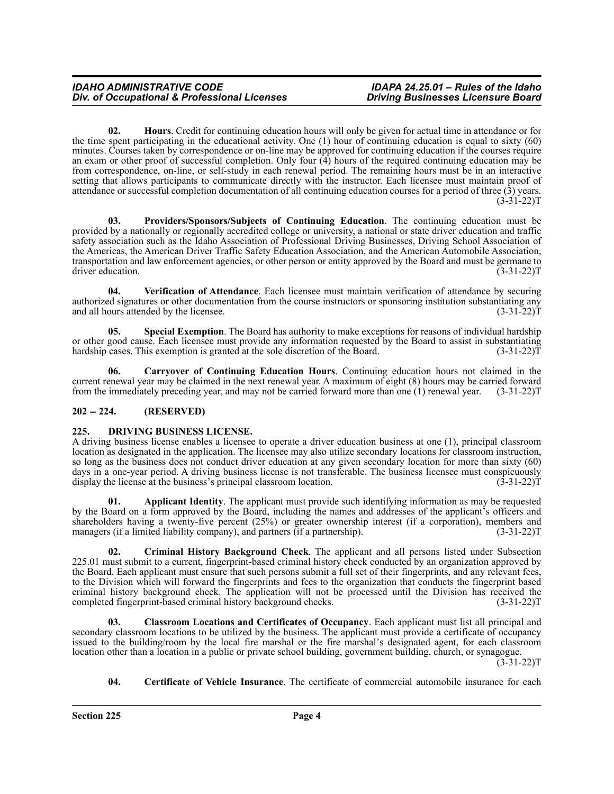**02. Hours**. Credit for continuing education hours will only be given for actual time in attendance or for the time spent participating in the educational activity. One (1) hour of continuing education is equal to sixty (60) minutes. Courses taken by correspondence or on-line may be approved for continuing education if the courses require an exam or other proof of successful completion. Only four (4) hours of the required continuing education may be from correspondence, on-line, or self-study in each renewal period. The remaining hours must be in an interactive setting that allows participants to communicate directly with the instructor. Each licensee must maintain proof of attendance or successful completion documentation of all continuing education courses for a period of three (3) years.  $(3-31-22)T$ 

**03. Providers/Sponsors/Subjects of Continuing Education**. The continuing education must be provided by a nationally or regionally accredited college or university, a national or state driver education and traffic safety association such as the Idaho Association of Professional Driving Businesses, Driving School Association of the Americas, the American Driver Traffic Safety Education Association, and the American Automobile Association, transportation and law enforcement agencies, or other person or entity approved by the Board and must be germane to driver education. (3-31-22) driver education.

**04. Verification of Attendance**. Each licensee must maintain verification of attendance by securing authorized signatures or other documentation from the course instructors or sponsoring institution substantiating any and all hours attended by the licensee.  $(3-31-22)T$ 

**05. Special Exemption**. The Board has authority to make exceptions for reasons of individual hardship or other good cause. Each licensee must provide any information requested by the Board to assist in substantiating hardship cases. This exemption is granted at the sole discretion of the Board. (3-31-22)T

**06. Carryover of Continuing Education Hours**. Continuing education hours not claimed in the current renewal year may be claimed in the next renewal year. A maximum of eight (8) hours may be carried forward from the immediately preceding year, and may not be carried forward more than one (1) renewal year. (3-31-22)T

### <span id="page-3-0"></span>**202 -- 224. (RESERVED)**

### <span id="page-3-1"></span>**225. DRIVING BUSINESS LICENSE.**

A driving business license enables a licensee to operate a driver education business at one (1), principal classroom location as designated in the application. The licensee may also utilize secondary locations for classroom instruction, so long as the business does not conduct driver education at any given secondary location for more than sixty (60) days in a one-year period. A driving business license is not transferable. The business licensee must conspicuously<br>display the license at the business's principal classroom location. (3-31-22) display the license at the business's principal classroom location.

**01. Applicant Identity**. The applicant must provide such identifying information as may be requested by the Board on a form approved by the Board, including the names and addresses of the applicant's officers and shareholders having a twenty-five percent (25%) or greater ownership interest (if a corporation), members and managers (if a limited liability company), and partners (if a partnership). (3-31-22) T

**02. Criminal History Background Check**. The applicant and all persons listed under Subsection 225.01 must submit to a current, fingerprint-based criminal history check conducted by an organization approved by the Board. Each applicant must ensure that such persons submit a full set of their fingerprints, and any relevant fees, to the Division which will forward the fingerprints and fees to the organization that conducts the fingerprint based criminal history background check. The application will not be processed until the Division has received the completed fingerprint-based criminal history background checks. (3-31-22)T

**03. Classroom Locations and Certificates of Occupancy**. Each applicant must list all principal and secondary classroom locations to be utilized by the business. The applicant must provide a certificate of occupancy issued to the building/room by the local fire marshal or the fire marshal's designated agent, for each classroom location other than a location in a public or private school building, government building, church, or synagogue.  $(3-31-22)T$ 

**04. Certificate of Vehicle Insurance**. The certificate of commercial automobile insurance for each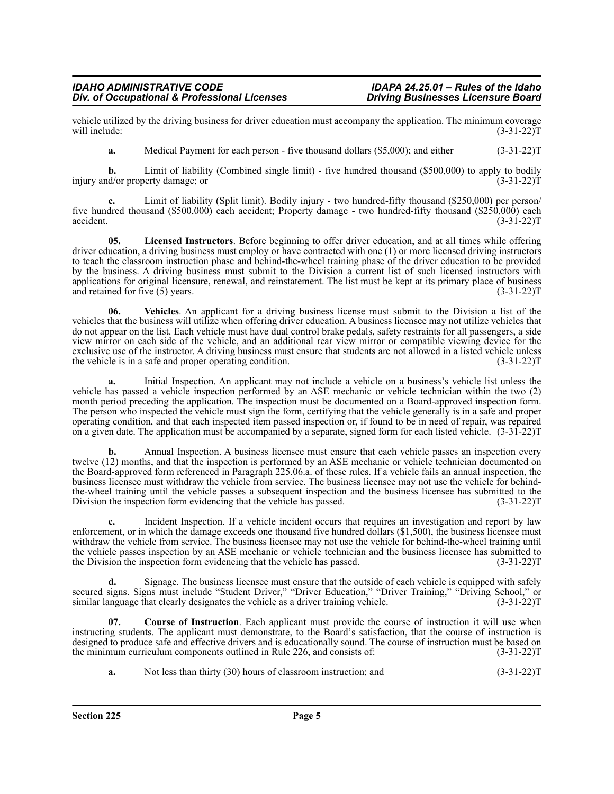vehicle utilized by the driving business for driver education must accompany the application. The minimum coverage will include: (3-31-22) will include:  $(3-31-22)T$ 

**a.** Medical Payment for each person - five thousand dollars (\$5,000); and either (3-31-22)T

**b.** Limit of liability (Combined single limit) - five hundred thousand (\$500,000) to apply to bodily id/or property damage; or (3-31-22) injury and/or property damage; or

**c.** Limit of liability (Split limit). Bodily injury - two hundred-fifty thousand (\$250,000) per person/ five hundred thousand (\$500,000) each accident; Property damage - two hundred-fifty thousand (\$250,000) each accident. (3-31-22)T  $\alpha$ ccident. (3-31-22)T

**05. Licensed Instructors**. Before beginning to offer driver education, and at all times while offering driver education, a driving business must employ or have contracted with one (1) or more licensed driving instructors to teach the classroom instruction phase and behind-the-wheel training phase of the driver education to be provided by the business. A driving business must submit to the Division a current list of such licensed instructors with applications for original licensure, renewal, and reinstatement. The list must be kept at its primary place of business and retained for five (5) years. (3-31-22)T

**06. Vehicles**. An applicant for a driving business license must submit to the Division a list of the vehicles that the business will utilize when offering driver education. A business licensee may not utilize vehicles that do not appear on the list. Each vehicle must have dual control brake pedals, safety restraints for all passengers, a side view mirror on each side of the vehicle, and an additional rear view mirror or compatible viewing device for the exclusive use of the instructor. A driving business must ensure that students are not allowed in a listed vehicle unless the vehicle is in a safe and proper operating condition. (3-31-22) T

**a.** Initial Inspection. An applicant may not include a vehicle on a business's vehicle list unless the vehicle has passed a vehicle inspection performed by an ASE mechanic or vehicle technician within the two (2) month period preceding the application. The inspection must be documented on a Board-approved inspection form. The person who inspected the vehicle must sign the form, certifying that the vehicle generally is in a safe and proper operating condition, and that each inspected item passed inspection or, if found to be in need of repair, was repaired on a given date. The application must be accompanied by a separate, signed form for each listed vehicle. (3-31-22)T

**b.** Annual Inspection. A business licensee must ensure that each vehicle passes an inspection every twelve (12) months, and that the inspection is performed by an ASE mechanic or vehicle technician documented on the Board-approved form referenced in Paragraph 225.06.a. of these rules. If a vehicle fails an annual inspection, the business licensee must withdraw the vehicle from service. The business licensee may not use the vehicle for behindthe-wheel training until the vehicle passes a subsequent inspection and the business licensee has submitted to the Division the inspection form evidencing that the vehicle has passed. (3-31-22)T

**c.** Incident Inspection. If a vehicle incident occurs that requires an investigation and report by law enforcement, or in which the damage exceeds one thousand five hundred dollars (\$1,500), the business licensee must withdraw the vehicle from service. The business licensee may not use the vehicle for behind-the-wheel training until the vehicle passes inspection by an ASE mechanic or vehicle technician and the business licensee has submitted to the Division the inspection form evidencing that the vehicle has passed. (3-31-22)T

**d.** Signage. The business licensee must ensure that the outside of each vehicle is equipped with safely secured signs. Signs must include "Student Driver," "Driver Education," "Driver Training," "Driving School," or similar language that clearly designates the vehicle as a driver training vehicle. (3-31-22) T

**07. Course of Instruction**. Each applicant must provide the course of instruction it will use when instructing students. The applicant must demonstrate, to the Board's satisfaction, that the course of instruction is designed to produce safe and effective drivers and is educationally sound. The course of instruction must be based on the minimum curriculum components outlined in Rule 226, and consists of:  $(3-31-22)T$ 

**a.** Not less than thirty (30) hours of classroom instruction; and (3-31-22)T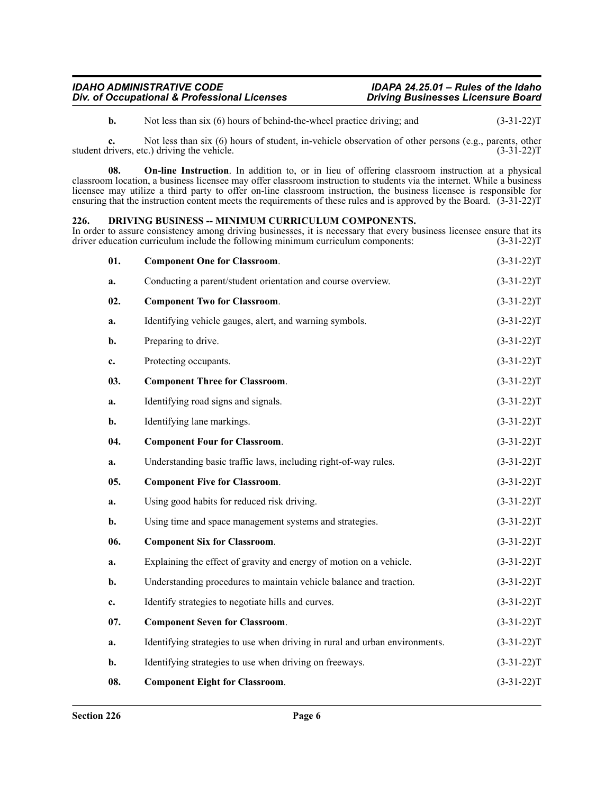**b.** Not less than six (6) hours of behind-the-wheel practice driving; and  $(3-31-22)T$ 

**c.** Not less than six (6) hours of student, in-vehicle observation of other persons (e.g., parents, other livers, etc.) driving the vehicle. (3-31-22) student drivers, etc.) driving the vehicle.

**08. On-line Instruction**. In addition to, or in lieu of offering classroom instruction at a physical classroom location, a business licensee may offer classroom instruction to students via the internet. While a business licensee may utilize a third party to offer on-line classroom instruction, the business licensee is responsible for ensuring that the instruction content meets the requirements of these rules and is approved by the Board. (3-31-22)T

#### <span id="page-5-0"></span>**226. DRIVING BUSINESS -- MINIMUM CURRICULUM COMPONENTS.**

In order to assure consistency among driving businesses, it is necessary that every business licensee ensure that its driver education curriculum include the following minimum curriculum components: (3-31-22)T driver education curriculum include the following minimum curriculum components:

| 01. | <b>Component One for Classroom.</b>                                         | $(3-31-22)T$ |
|-----|-----------------------------------------------------------------------------|--------------|
| a.  | Conducting a parent/student orientation and course overview.                | $(3-31-22)T$ |
| 02. | <b>Component Two for Classroom.</b>                                         | $(3-31-22)T$ |
| a.  | Identifying vehicle gauges, alert, and warning symbols.                     | $(3-31-22)T$ |
| b.  | Preparing to drive.                                                         | $(3-31-22)T$ |
| c.  | Protecting occupants.                                                       | $(3-31-22)T$ |
| 03. | <b>Component Three for Classroom.</b>                                       | $(3-31-22)T$ |
| a.  | Identifying road signs and signals.                                         | $(3-31-22)T$ |
| b.  | Identifying lane markings.                                                  | $(3-31-22)T$ |
| 04. | <b>Component Four for Classroom.</b>                                        | $(3-31-22)T$ |
| a.  | Understanding basic traffic laws, including right-of-way rules.             | $(3-31-22)T$ |
| 05. | <b>Component Five for Classroom.</b>                                        | $(3-31-22)T$ |
| a.  | Using good habits for reduced risk driving.                                 | $(3-31-22)T$ |
| b.  | Using time and space management systems and strategies.                     | $(3-31-22)T$ |
| 06. | <b>Component Six for Classroom.</b>                                         | $(3-31-22)T$ |
| a.  | Explaining the effect of gravity and energy of motion on a vehicle.         | $(3-31-22)T$ |
| b.  | Understanding procedures to maintain vehicle balance and traction.          | $(3-31-22)T$ |
| c.  | Identify strategies to negotiate hills and curves.                          | $(3-31-22)T$ |
| 07. | <b>Component Seven for Classroom.</b>                                       | $(3-31-22)T$ |
| a.  | Identifying strategies to use when driving in rural and urban environments. | $(3-31-22)T$ |
| b.  | Identifying strategies to use when driving on freeways.                     | $(3-31-22)T$ |
| 08. | <b>Component Eight for Classroom.</b>                                       | $(3-31-22)T$ |
|     |                                                                             |              |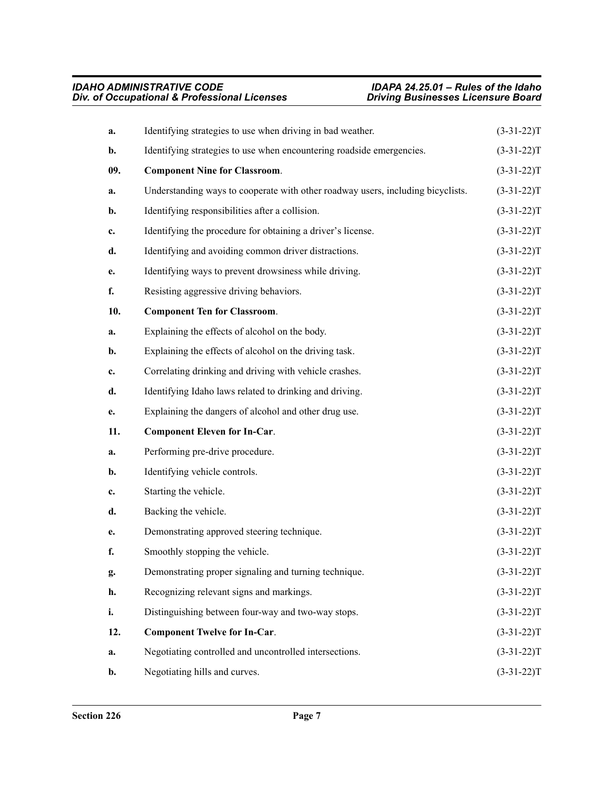| a.             | Identifying strategies to use when driving in bad weather.                      | $(3-31-22)T$ |
|----------------|---------------------------------------------------------------------------------|--------------|
| $\mathbf{b}$ . | Identifying strategies to use when encountering roadside emergencies.           |              |
| 09.            | <b>Component Nine for Classroom.</b>                                            | $(3-31-22)T$ |
| a.             | Understanding ways to cooperate with other roadway users, including bicyclists. | $(3-31-22)T$ |
| b.             | Identifying responsibilities after a collision.                                 | $(3-31-22)T$ |
| c.             | Identifying the procedure for obtaining a driver's license.                     | $(3-31-22)T$ |
| d.             | Identifying and avoiding common driver distractions.                            | $(3-31-22)T$ |
| e.             | Identifying ways to prevent drowsiness while driving.                           | $(3-31-22)T$ |
| f.             | Resisting aggressive driving behaviors.                                         | $(3-31-22)T$ |
| 10.            | <b>Component Ten for Classroom.</b>                                             | $(3-31-22)T$ |
| a.             | Explaining the effects of alcohol on the body.                                  | $(3-31-22)T$ |
| $\mathbf{b}$ . | Explaining the effects of alcohol on the driving task.                          | $(3-31-22)T$ |
| c.             | Correlating drinking and driving with vehicle crashes.                          | $(3-31-22)T$ |
| d.             | Identifying Idaho laws related to drinking and driving.                         | $(3-31-22)T$ |
| e.             | Explaining the dangers of alcohol and other drug use.                           | $(3-31-22)T$ |
|                |                                                                                 |              |
| 11.            | <b>Component Eleven for In-Car.</b>                                             | $(3-31-22)T$ |
| a.             | Performing pre-drive procedure.                                                 | $(3-31-22)T$ |
| b.             | Identifying vehicle controls.                                                   | $(3-31-22)T$ |
| c.             | Starting the vehicle.                                                           | $(3-31-22)T$ |
| d.             | Backing the vehicle.                                                            | $(3-31-22)T$ |
| e.             | Demonstrating approved steering technique.                                      | $(3-31-22)T$ |
| f.             | Smoothly stopping the vehicle.                                                  | $(3-31-22)T$ |
| g.             | Demonstrating proper signaling and turning technique.                           | $(3-31-22)T$ |
| h.             | Recognizing relevant signs and markings.                                        | $(3-31-22)T$ |
| i.             | Distinguishing between four-way and two-way stops.                              | $(3-31-22)T$ |
| 12.            | <b>Component Twelve for In-Car.</b>                                             | $(3-31-22)T$ |
| a.             | Negotiating controlled and uncontrolled intersections.                          | $(3-31-22)T$ |
| b.             | Negotiating hills and curves.                                                   | $(3-31-22)T$ |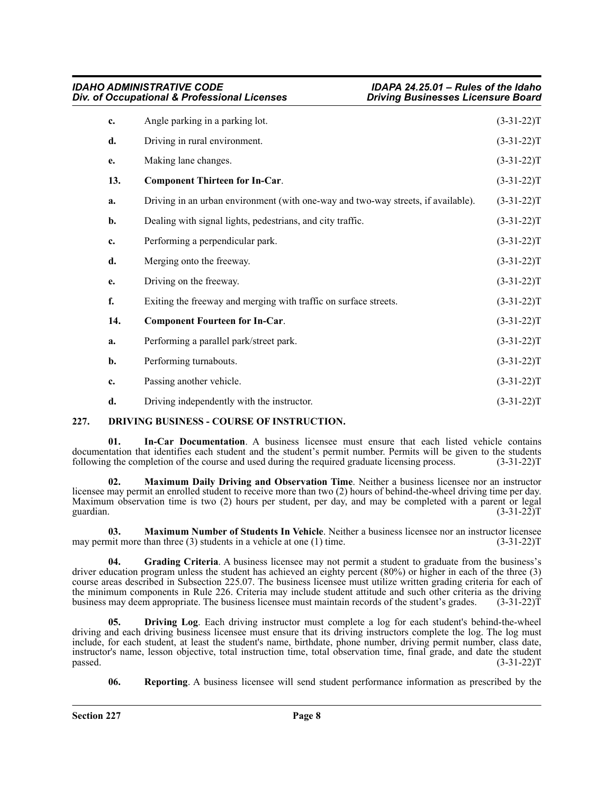|     | <b>IDAHO ADMINISTRATIVE CODE</b><br>Div. of Occupational & Professional Licenses  | IDAPA 24.25.01 - Rules of the Idaho<br><b>Driving Businesses Licensure Board</b> |  |
|-----|-----------------------------------------------------------------------------------|----------------------------------------------------------------------------------|--|
| c.  | Angle parking in a parking lot.                                                   | $(3-31-22)T$                                                                     |  |
| d.  | Driving in rural environment.                                                     | $(3-31-22)T$                                                                     |  |
| e.  | Making lane changes.                                                              | $(3-31-22)T$                                                                     |  |
| 13. | <b>Component Thirteen for In-Car.</b>                                             | $(3-31-22)T$                                                                     |  |
| a.  | Driving in an urban environment (with one-way and two-way streets, if available). | $(3-31-22)T$                                                                     |  |
| b.  | Dealing with signal lights, pedestrians, and city traffic.                        | $(3-31-22)T$                                                                     |  |
| c.  | Performing a perpendicular park.                                                  | $(3-31-22)T$                                                                     |  |
| d.  | Merging onto the freeway.                                                         | $(3-31-22)T$                                                                     |  |
| e.  | Driving on the freeway.                                                           | $(3-31-22)T$                                                                     |  |
| f.  | Exiting the freeway and merging with traffic on surface streets.                  | $(3-31-22)T$                                                                     |  |
| 14. | <b>Component Fourteen for In-Car.</b>                                             | $(3-31-22)T$                                                                     |  |
| a.  | Performing a parallel park/street park.                                           | $(3-31-22)T$                                                                     |  |
| b.  | Performing turnabouts.                                                            | $(3-31-22)T$                                                                     |  |
| c.  | Passing another vehicle.                                                          | $(3-31-22)T$                                                                     |  |
| d.  | Driving independently with the instructor.                                        | $(3-31-22)T$                                                                     |  |

#### <span id="page-7-0"></span>**227. DRIVING BUSINESS - COURSE OF INSTRUCTION.**

**01. In-Car Documentation**. A business licensee must ensure that each listed vehicle contains documentation that identifies each student and the student's permit number. Permits will be given to the students following the completion of the course and used during the required graduate licensing process. (3-31-22) following the completion of the course and used during the required graduate licensing process.

**Maximum Daily Driving and Observation Time**. Neither a business licensee nor an instructor licensee may permit an enrolled student to receive more than two (2) hours of behind-the-wheel driving time per day. Maximum observation time is two (2) hours per student, per day, and may be completed with a parent or legal guardian. (3-31-22) guardian.  $(3-31-22)T$ 

**03. Maximum Number of Students In Vehicle**. Neither a business licensee nor an instructor licensee may permit more than three (3) students in a vehicle at one (1) time.  $(3-31-22)T$ 

**04. Grading Criteria**. A business licensee may not permit a student to graduate from the business's driver education program unless the student has achieved an eighty percent (80%) or higher in each of the three (3) course areas described in Subsection 225.07. The business licensee must utilize written grading criteria for each of the minimum components in Rule 226. Criteria may include student attitude and such other criteria as the driving<br>business may deem appropriate. The business licensee must maintain records of the student's grades. (3-31-22) business may deem appropriate. The business licensee must maintain records of the student's grades.

**05. Driving Log**. Each driving instructor must complete a log for each student's behind-the-wheel driving and each driving business licensee must ensure that its driving instructors complete the log. The log must include, for each student, at least the student's name, birthdate, phone number, driving permit number, class date, instructor's name, lesson objective, total instruction time, total observation time, final grade, and date the student  $p$ assed.  $(3-31-22)$ T

**06. Reporting**. A business licensee will send student performance information as prescribed by the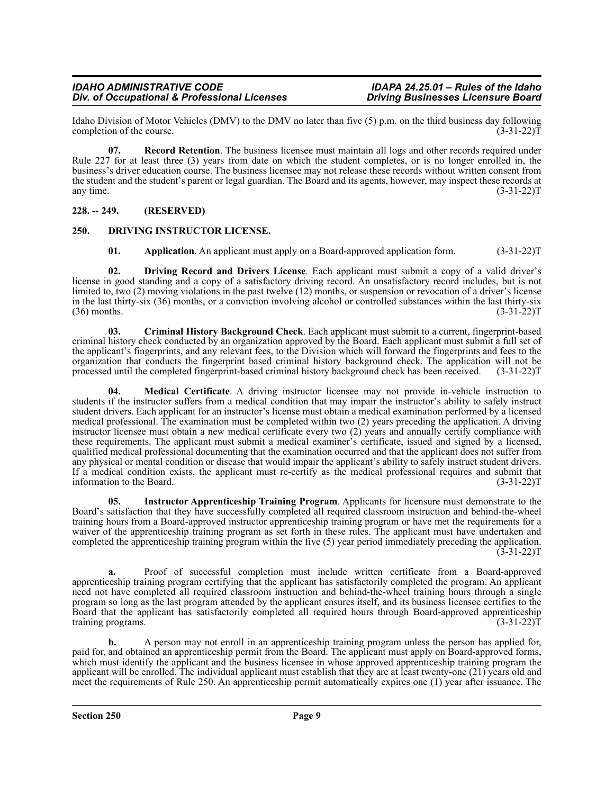Idaho Division of Motor Vehicles (DMV) to the DMV no later than five (5) p.m. on the third business day following completion of the course. (3-31-22) completion of the course.

**07.** Record Retention. The business licensee must maintain all logs and other records required under Rule 227 for at least three (3) years from date on which the student completes, or is no longer enrolled in, the business's driver education course. The business licensee may not release these records without written consent from the student and the student's parent or legal guardian. The Board and its agents, however, may inspect these records at any time.  $(3-31-22)T$ 

#### <span id="page-8-0"></span>**228. -- 249. (RESERVED)**

#### <span id="page-8-1"></span>**250. DRIVING INSTRUCTOR LICENSE.**

**01.** Application. An applicant must apply on a Board-approved application form. (3-31-22)T

**02. Driving Record and Drivers License**. Each applicant must submit a copy of a valid driver's license in good standing and a copy of a satisfactory driving record. An unsatisfactory record includes, but is not limited to, two (2) moving violations in the past twelve (12) months, or suspension or revocation of a driver's license in the last thirty-six (36) months, or a conviction involving alcohol or controlled substances within the last thirty-six  $(36)$  months.  $(3-31-22)$ T

**03. Criminal History Background Check**. Each applicant must submit to a current, fingerprint-based criminal history check conducted by an organization approved by the Board. Each applicant must submit a full set of the applicant's fingerprints, and any relevant fees, to the Division which will forward the fingerprints and fees to the organization that conducts the fingerprint based criminal history background check. The application will not be processed until the completed fingerprint-based criminal history background check has been received. (3-31-22) processed until the completed fingerprint-based criminal history background check has been received.

**04. Medical Certificate**. A driving instructor licensee may not provide in-vehicle instruction to students if the instructor suffers from a medical condition that may impair the instructor's ability to safely instruct student drivers. Each applicant for an instructor's license must obtain a medical examination performed by a licensed medical professional. The examination must be completed within two (2) years preceding the application. A driving instructor licensee must obtain a new medical certificate every two (2) years and annually certify compliance with these requirements. The applicant must submit a medical examiner's certificate, issued and signed by a licensed, qualified medical professional documenting that the examination occurred and that the applicant does not suffer from any physical or mental condition or disease that would impair the applicant's ability to safely instruct student drivers. If a medical condition exists, the applicant must re-certify as the medical professional requires and submit that information to the Board. (3-31-22) information to the Board.

**05. Instructor Apprenticeship Training Program**. Applicants for licensure must demonstrate to the Board's satisfaction that they have successfully completed all required classroom instruction and behind-the-wheel training hours from a Board-approved instructor apprenticeship training program or have met the requirements for a waiver of the apprenticeship training program as set forth in these rules. The applicant must have undertaken and completed the apprenticeship training program within the five (5) year period immediately preceding the application.  $(3-31-22)T$ 

**a.** Proof of successful completion must include written certificate from a Board-approved apprenticeship training program certifying that the applicant has satisfactorily completed the program. An applicant need not have completed all required classroom instruction and behind-the-wheel training hours through a single program so long as the last program attended by the applicant ensures itself, and its business licensee certifies to the Board that the applicant has satisfactorily completed all required hours through Board-approved apprenticeship training programs. (3-31-22)T

**b.** A person may not enroll in an apprenticeship training program unless the person has applied for, paid for, and obtained an apprenticeship permit from the Board. The applicant must apply on Board-approved forms, which must identify the applicant and the business licensee in whose approved apprenticeship training program the applicant will be enrolled. The individual applicant must establish that they are at least twenty-one (21) years old and meet the requirements of Rule 250. An apprenticeship permit automatically expires one (1) year after issuance. The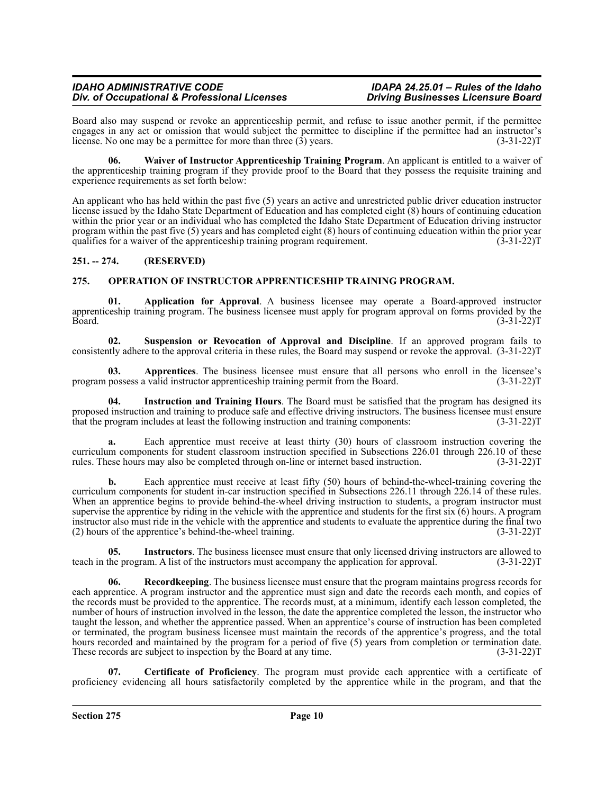Board also may suspend or revoke an apprenticeship permit, and refuse to issue another permit, if the permittee engages in any act or omission that would subject the permittee to discipline if the permittee had an instructor's license. No one may be a permittee for more than three (3) years. (3-31-22)T

**06. Waiver of Instructor Apprenticeship Training Program**. An applicant is entitled to a waiver of the apprenticeship training program if they provide proof to the Board that they possess the requisite training and experience requirements as set forth below:

An applicant who has held within the past five (5) years an active and unrestricted public driver education instructor license issued by the Idaho State Department of Education and has completed eight (8) hours of continuing education within the prior year or an individual who has completed the Idaho State Department of Education driving instructor program within the past five (5) years and has completed eight (8) hours of continuing education within the prior year qualifies for a waiver of the apprentices hip training program requirement.  $(3-31-22)$ qualifies for a waiver of the apprenticeship training program requirement.

#### <span id="page-9-0"></span>**251. -- 274. (RESERVED)**

#### <span id="page-9-1"></span>**275. OPERATION OF INSTRUCTOR APPRENTICESHIP TRAINING PROGRAM.**

**01. Application for Approval**. A business licensee may operate a Board-approved instructor apprenticeship training program. The business licensee must apply for program approval on forms provided by the<br>(3-31-22)T Board. (3-31-22)T

**02. Suspension or Revocation of Approval and Discipline**. If an approved program fails to consistently adhere to the approval criteria in these rules, the Board may suspend or revoke the approval. (3-31-22)T

**03. Apprentices**. The business licensee must ensure that all persons who enroll in the licensee's program possess a valid instructor apprenticeship training permit from the Board. (3-31-22)T

**04. Instruction and Training Hours**. The Board must be satisfied that the program has designed its proposed instruction and training to produce safe and effective driving instructors. The business licensee must ensure that the program includes at least the following instruction and training components: (3-31-22) that the program includes at least the following instruction and training components:

Each apprentice must receive at least thirty (30) hours of classroom instruction covering the curriculum components for student classroom instruction specified in Subsections 226.01 through 226.10 of these rules. These hours may also be completed through on-line or internet based instruction. (3-31-22) rules. These hours may also be completed through on-line or internet based instruction.

**b.** Each apprentice must receive at least fifty (50) hours of behind-the-wheel-training covering the curriculum components for student in-car instruction specified in Subsections 226.11 through 226.14 of these rules. When an apprentice begins to provide behind-the-wheel driving instruction to students, a program instructor must supervise the apprentice by riding in the vehicle with the apprentice and students for the first six (6) hours. A program instructor also must ride in the vehicle with the apprentice and students to evaluate the apprentice during the final two (2) hours of the apprentice's behind-the-wheel training. (3-31-22)T

**05. Instructors**. The business licensee must ensure that only licensed driving instructors are allowed to teach in the program. A list of the instructors must accompany the application for approval. (3-31-22)T

**Recordkeeping**. The business licensee must ensure that the program maintains progress records for each apprentice. A program instructor and the apprentice must sign and date the records each month, and copies of the records must be provided to the apprentice. The records must, at a minimum, identify each lesson completed, the number of hours of instruction involved in the lesson, the date the apprentice completed the lesson, the instructor who taught the lesson, and whether the apprentice passed. When an apprentice's course of instruction has been completed or terminated, the program business licensee must maintain the records of the apprentice's progress, and the total hours recorded and maintained by the program for a period of five  $(5)$  years from completion or termination date. These records are subject to inspection by the Board at any time. (3-31-22)T

**07. Certificate of Proficiency**. The program must provide each apprentice with a certificate of proficiency evidencing all hours satisfactorily completed by the apprentice while in the program, and that the